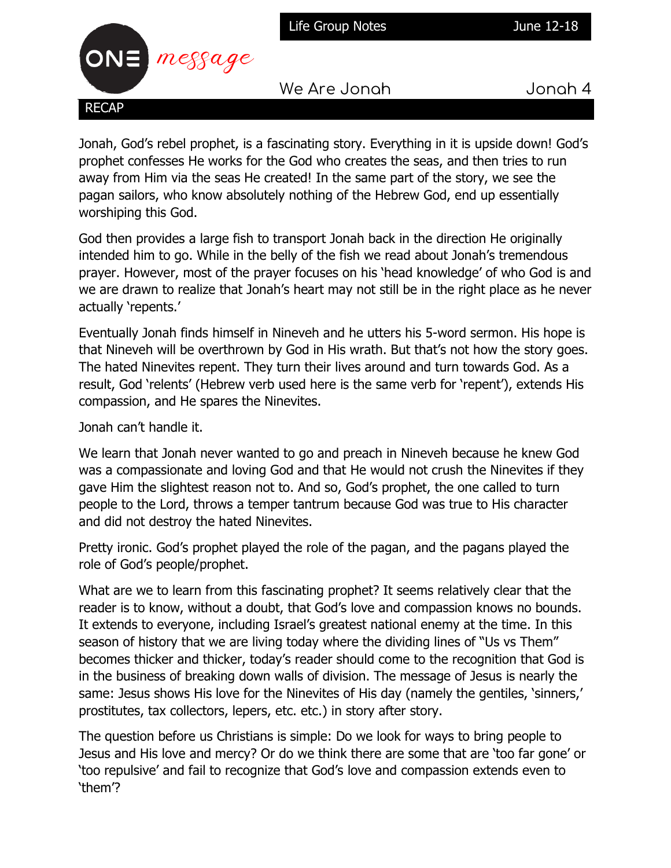Life Group Notes **June 12-18** 



We Are Jonah Jonah 4

Jonah, God's rebel prophet, is a fascinating story. Everything in it is upside down! God's prophet confesses He works for the God who creates the seas, and then tries to run away from Him via the seas He created! In the same part of the story, we see the pagan sailors, who know absolutely nothing of the Hebrew God, end up essentially worshiping this God.

God then provides a large fish to transport Jonah back in the direction He originally intended him to go. While in the belly of the fish we read about Jonah's tremendous prayer. However, most of the prayer focuses on his 'head knowledge' of who God is and we are drawn to realize that Jonah's heart may not still be in the right place as he never actually 'repents.'

Eventually Jonah finds himself in Nineveh and he utters his 5-word sermon. His hope is that Nineveh will be overthrown by God in His wrath. But that's not how the story goes. The hated Ninevites repent. They turn their lives around and turn towards God. As a result, God 'relents' (Hebrew verb used here is the same verb for 'repent'), extends His compassion, and He spares the Ninevites.

Jonah can't handle it.

We learn that Jonah never wanted to go and preach in Nineveh because he knew God was a compassionate and loving God and that He would not crush the Ninevites if they gave Him the slightest reason not to. And so, God's prophet, the one called to turn people to the Lord, throws a temper tantrum because God was true to His character and did not destroy the hated Ninevites.

Pretty ironic. God's prophet played the role of the pagan, and the pagans played the role of God's people/prophet.

What are we to learn from this fascinating prophet? It seems relatively clear that the reader is to know, without a doubt, that God's love and compassion knows no bounds. It extends to everyone, including Israel's greatest national enemy at the time. In this season of history that we are living today where the dividing lines of "Us vs Them" becomes thicker and thicker, today's reader should come to the recognition that God is in the business of breaking down walls of division. The message of Jesus is nearly the same: Jesus shows His love for the Ninevites of His day (namely the gentiles, 'sinners,' prostitutes, tax collectors, lepers, etc. etc.) in story after story.

The question before us Christians is simple: Do we look for ways to bring people to Jesus and His love and mercy? Or do we think there are some that are 'too far gone' or 'too repulsive' and fail to recognize that God's love and compassion extends even to 'them'?